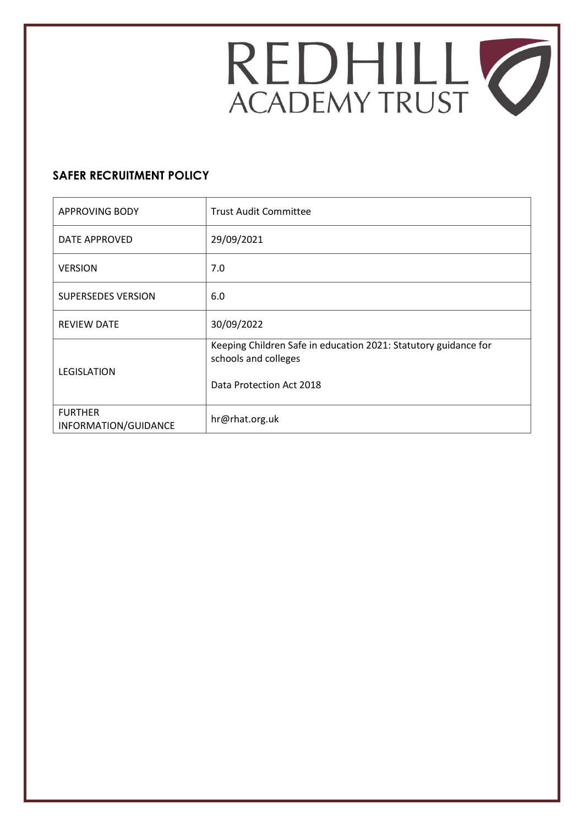

# **SAFER RECRUITMENT POLICY**

| <b>APPROVING BODY</b>                  | <b>Trust Audit Committee</b>                                                                                        |  |
|----------------------------------------|---------------------------------------------------------------------------------------------------------------------|--|
| DATE APPROVED                          | 29/09/2021                                                                                                          |  |
| <b>VERSION</b>                         | 7.0                                                                                                                 |  |
| <b>SUPERSEDES VERSION</b>              | 6.0                                                                                                                 |  |
| <b>REVIEW DATE</b>                     | 30/09/2022                                                                                                          |  |
| <b>LEGISLATION</b>                     | Keeping Children Safe in education 2021: Statutory guidance for<br>schools and colleges<br>Data Protection Act 2018 |  |
| <b>FURTHER</b><br>INFORMATION/GUIDANCE | hr@rhat.org.uk                                                                                                      |  |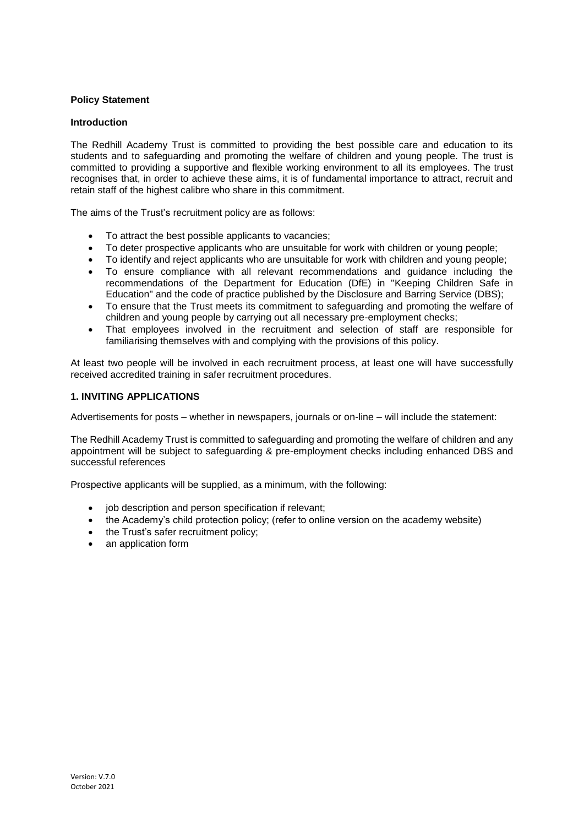# **Policy Statement**

### **Introduction**

The Redhill Academy Trust is committed to providing the best possible care and education to its students and to safeguarding and promoting the welfare of children and young people. The trust is committed to providing a supportive and flexible working environment to all its employees. The trust recognises that, in order to achieve these aims, it is of fundamental importance to attract, recruit and retain staff of the highest calibre who share in this commitment.

The aims of the Trust's recruitment policy are as follows:

- To attract the best possible applicants to vacancies;
- To deter prospective applicants who are unsuitable for work with children or young people;
- To identify and reject applicants who are unsuitable for work with children and young people;
- To ensure compliance with all relevant recommendations and guidance including the recommendations of the Department for Education (DfE) in "Keeping Children Safe in Education" and the code of practice published by the Disclosure and Barring Service (DBS);
- To ensure that the Trust meets its commitment to safeguarding and promoting the welfare of children and young people by carrying out all necessary pre-employment checks;
- That employees involved in the recruitment and selection of staff are responsible for familiarising themselves with and complying with the provisions of this policy.

At least two people will be involved in each recruitment process, at least one will have successfully received accredited training in safer recruitment procedures.

### **1. INVITING APPLICATIONS**

Advertisements for posts – whether in newspapers, journals or on-line – will include the statement:

The Redhill Academy Trust is committed to safeguarding and promoting the welfare of children and any appointment will be subject to safeguarding & pre-employment checks including enhanced DBS and successful references

Prospective applicants will be supplied, as a minimum, with the following:

- job description and person specification if relevant;
- the Academy's child protection policy; (refer to online version on the academy website)
- the Trust's safer recruitment policy;
- an application form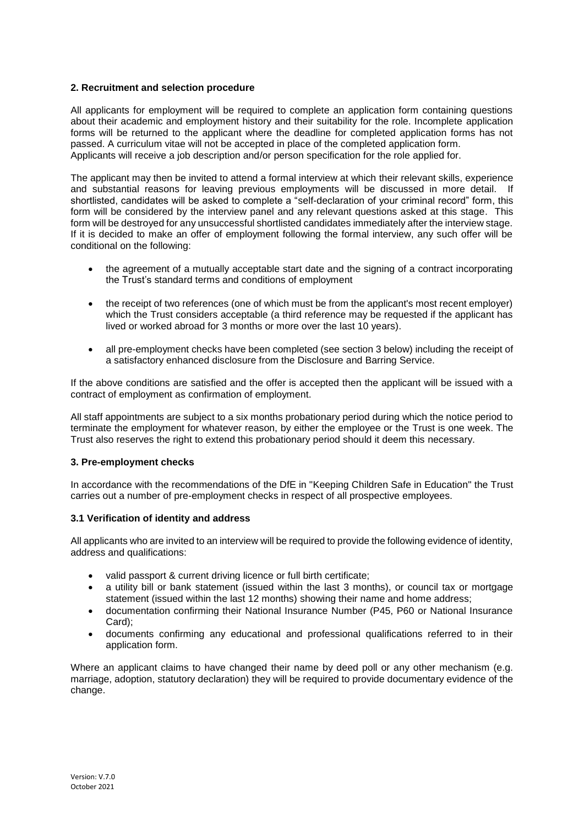### **2. Recruitment and selection procedure**

All applicants for employment will be required to complete an application form containing questions about their academic and employment history and their suitability for the role. Incomplete application forms will be returned to the applicant where the deadline for completed application forms has not passed. A curriculum vitae will not be accepted in place of the completed application form. Applicants will receive a job description and/or person specification for the role applied for.

The applicant may then be invited to attend a formal interview at which their relevant skills, experience and substantial reasons for leaving previous employments will be discussed in more detail. If shortlisted, candidates will be asked to complete a "self-declaration of your criminal record" form, this form will be considered by the interview panel and any relevant questions asked at this stage. This form will be destroyed for any unsuccessful shortlisted candidates immediately after the interview stage. If it is decided to make an offer of employment following the formal interview, any such offer will be conditional on the following:

- the agreement of a mutually acceptable start date and the signing of a contract incorporating the Trust's standard terms and conditions of employment
- the receipt of two references (one of which must be from the applicant's most recent employer) which the Trust considers acceptable (a third reference may be requested if the applicant has lived or worked abroad for 3 months or more over the last 10 years).
- all pre-employment checks have been completed (see section 3 below) including the receipt of a satisfactory enhanced disclosure from the Disclosure and Barring Service.

If the above conditions are satisfied and the offer is accepted then the applicant will be issued with a contract of employment as confirmation of employment.

All staff appointments are subject to a six months probationary period during which the notice period to terminate the employment for whatever reason, by either the employee or the Trust is one week. The Trust also reserves the right to extend this probationary period should it deem this necessary.

#### **3. Pre-employment checks**

In accordance with the recommendations of the DfE in "Keeping Children Safe in Education" the Trust carries out a number of pre-employment checks in respect of all prospective employees.

#### **3.1 Verification of identity and address**

All applicants who are invited to an interview will be required to provide the following evidence of identity, address and qualifications:

- valid passport & current driving licence or full birth certificate;
- a utility bill or bank statement (issued within the last 3 months), or council tax or mortgage statement (issued within the last 12 months) showing their name and home address;
- documentation confirming their National Insurance Number (P45, P60 or National Insurance Card);
- documents confirming any educational and professional qualifications referred to in their application form.

Where an applicant claims to have changed their name by deed poll or any other mechanism (e.g. marriage, adoption, statutory declaration) they will be required to provide documentary evidence of the change.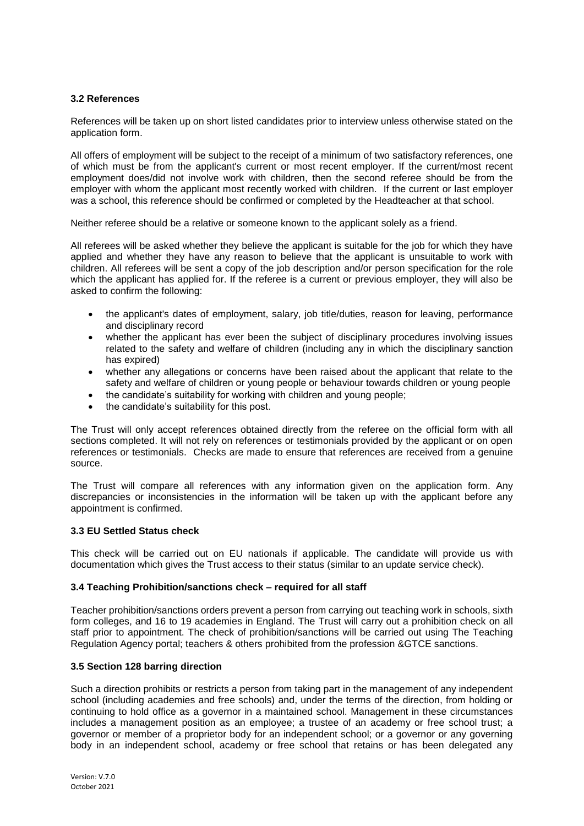### **3.2 References**

References will be taken up on short listed candidates prior to interview unless otherwise stated on the application form.

All offers of employment will be subject to the receipt of a minimum of two satisfactory references, one of which must be from the applicant's current or most recent employer. If the current/most recent employment does/did not involve work with children, then the second referee should be from the employer with whom the applicant most recently worked with children. If the current or last employer was a school, this reference should be confirmed or completed by the Headteacher at that school.

Neither referee should be a relative or someone known to the applicant solely as a friend.

All referees will be asked whether they believe the applicant is suitable for the job for which they have applied and whether they have any reason to believe that the applicant is unsuitable to work with children. All referees will be sent a copy of the job description and/or person specification for the role which the applicant has applied for. If the referee is a current or previous employer, they will also be asked to confirm the following:

- the applicant's dates of employment, salary, job title/duties, reason for leaving, performance and disciplinary record
- whether the applicant has ever been the subject of disciplinary procedures involving issues related to the safety and welfare of children (including any in which the disciplinary sanction has expired)
- whether any allegations or concerns have been raised about the applicant that relate to the safety and welfare of children or young people or behaviour towards children or young people
- the candidate's suitability for working with children and young people;
- the candidate's suitability for this post.

The Trust will only accept references obtained directly from the referee on the official form with all sections completed. It will not rely on references or testimonials provided by the applicant or on open references or testimonials. Checks are made to ensure that references are received from a genuine source.

The Trust will compare all references with any information given on the application form. Any discrepancies or inconsistencies in the information will be taken up with the applicant before any appointment is confirmed.

### **3.3 EU Settled Status check**

This check will be carried out on EU nationals if applicable. The candidate will provide us with documentation which gives the Trust access to their status (similar to an update service check).

#### **3.4 Teaching Prohibition/sanctions check – required for all staff**

Teacher prohibition/sanctions orders prevent a person from carrying out teaching work in schools, sixth form colleges, and 16 to 19 academies in England. The Trust will carry out a prohibition check on all staff prior to appointment. The check of prohibition/sanctions will be carried out using The Teaching Regulation Agency portal; teachers & others prohibited from the profession &GTCE sanctions.

#### **3.5 Section 128 barring direction**

Such a direction prohibits or restricts a person from taking part in the management of any independent school (including academies and free schools) and, under the terms of the direction, from holding or continuing to hold office as a governor in a maintained school. Management in these circumstances includes a management position as an employee; a trustee of an academy or free school trust; a governor or member of a proprietor body for an independent school; or a governor or any governing body in an independent school, academy or free school that retains or has been delegated any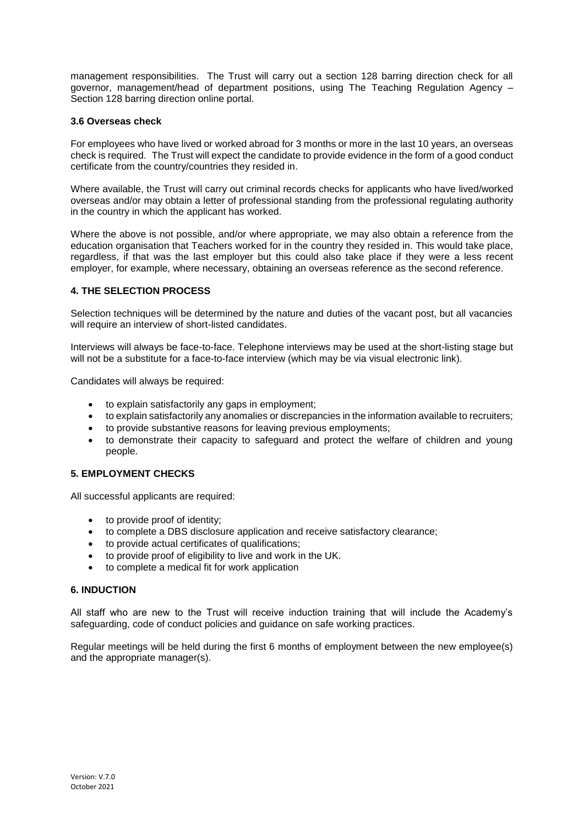management responsibilities. The Trust will carry out a section 128 barring direction check for all governor, management/head of department positions, using The Teaching Regulation Agency – Section 128 barring direction online portal.

### **3.6 Overseas check**

For employees who have lived or worked abroad for 3 months or more in the last 10 years, an overseas check is required. The Trust will expect the candidate to provide evidence in the form of a good conduct certificate from the country/countries they resided in.

Where available, the Trust will carry out criminal records checks for applicants who have lived/worked overseas and/or may obtain a letter of professional standing from the professional regulating authority in the country in which the applicant has worked.

Where the above is not possible, and/or where appropriate, we may also obtain a reference from the education organisation that Teachers worked for in the country they resided in. This would take place, regardless, if that was the last employer but this could also take place if they were a less recent employer, for example, where necessary, obtaining an overseas reference as the second reference.

# **4. THE SELECTION PROCESS**

Selection techniques will be determined by the nature and duties of the vacant post, but all vacancies will require an interview of short-listed candidates.

Interviews will always be face-to-face. Telephone interviews may be used at the short-listing stage but will not be a substitute for a face-to-face interview (which may be via visual electronic link).

Candidates will always be required:

- to explain satisfactorily any gaps in employment;
- to explain satisfactorily any anomalies or discrepancies in the information available to recruiters;
- to provide substantive reasons for leaving previous employments;
- to demonstrate their capacity to safeguard and protect the welfare of children and young people.

# **5. EMPLOYMENT CHECKS**

All successful applicants are required:

- to provide proof of identity;
- to complete a DBS disclosure application and receive satisfactory clearance;
- to provide actual certificates of qualifications;
- to provide proof of eligibility to live and work in the UK.
- to complete a medical fit for work application

### **6. INDUCTION**

All staff who are new to the Trust will receive induction training that will include the Academy's safeguarding, code of conduct policies and guidance on safe working practices.

Regular meetings will be held during the first 6 months of employment between the new employee(s) and the appropriate manager(s).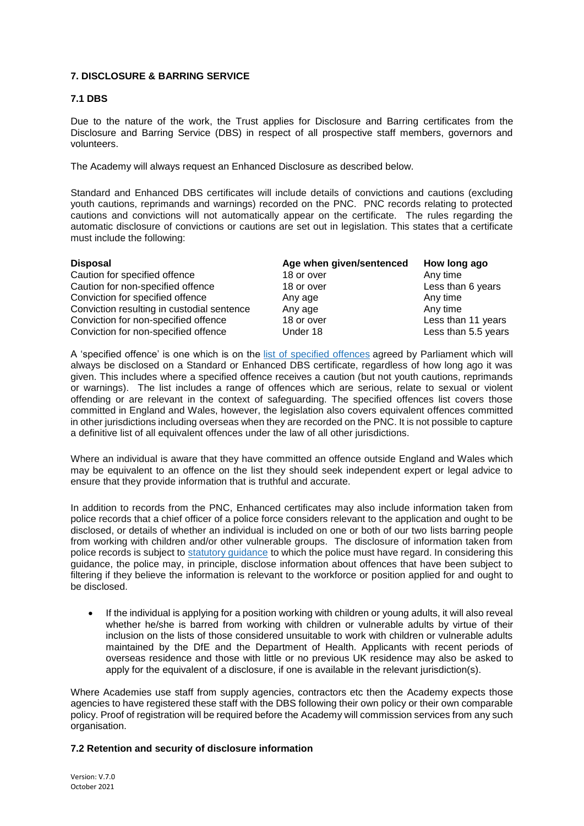# **7. DISCLOSURE & BARRING SERVICE**

# **7.1 DBS**

Due to the nature of the work, the Trust applies for Disclosure and Barring certificates from the Disclosure and Barring Service (DBS) in respect of all prospective staff members, governors and volunteers.

The Academy will always request an Enhanced Disclosure as described below.

Standard and Enhanced DBS certificates will include details of convictions and cautions (excluding youth cautions, reprimands and warnings) recorded on the PNC. PNC records relating to protected cautions and convictions will not automatically appear on the certificate. The rules regarding the automatic disclosure of convictions or cautions are set out in legislation. This states that a certificate must include the following:

| <b>Disposal</b>                            | Age when given/sentenced | How long ago        |
|--------------------------------------------|--------------------------|---------------------|
| Caution for specified offence              | 18 or over               | Any time            |
| Caution for non-specified offence          | 18 or over               | Less than 6 years   |
| Conviction for specified offence           | Any age                  | Any time            |
| Conviction resulting in custodial sentence | Any age                  | Any time            |
| Conviction for non-specified offence       | 18 or over               | Less than 11 years  |
| Conviction for non-specified offence       | Under 18                 | Less than 5.5 years |

A 'specified offence' is one which is on the list of specified offences agreed by Parliament which will always be disclosed on a Standard or Enhanced DBS certificate, regardless of how long ago it was given. This includes where a specified offence receives a caution (but not youth cautions, reprimands or warnings). The list includes a range of offences which are serious, relate to sexual or violent offending or are relevant in the context of safeguarding. The specified offences list covers those committed in England and Wales, however, the legislation also covers equivalent offences committed in other jurisdictions including overseas when they are recorded on the PNC. It is not possible to capture a definitive list of all equivalent offences under the law of all other jurisdictions.

Where an individual is aware that they have committed an offence outside England and Wales which may be equivalent to an offence on the list they should seek independent expert or legal advice to ensure that they provide information that is truthful and accurate.

In addition to records from the PNC, Enhanced certificates may also include information taken from police records that a chief officer of a police force considers relevant to the application and ought to be disclosed, or details of whether an individual is included on one or both of our two lists barring people from working with children and/or other vulnerable groups. The disclosure of information taken from police records is subject to statutory guidance to which the police must have regard. In considering this guidance, the police may, in principle, disclose information about offences that have been subject to filtering if they believe the information is relevant to the workforce or position applied for and ought to be disclosed.

 If the individual is applying for a position working with children or young adults, it will also reveal whether he/she is barred from working with children or vulnerable adults by virtue of their inclusion on the lists of those considered unsuitable to work with children or vulnerable adults maintained by the DfE and the Department of Health. Applicants with recent periods of overseas residence and those with little or no previous UK residence may also be asked to apply for the equivalent of a disclosure, if one is available in the relevant jurisdiction(s).

Where Academies use staff from supply agencies, contractors etc then the Academy expects those agencies to have registered these staff with the DBS following their own policy or their own comparable policy. Proof of registration will be required before the Academy will commission services from any such organisation.

# **7.2 Retention and security of disclosure information**